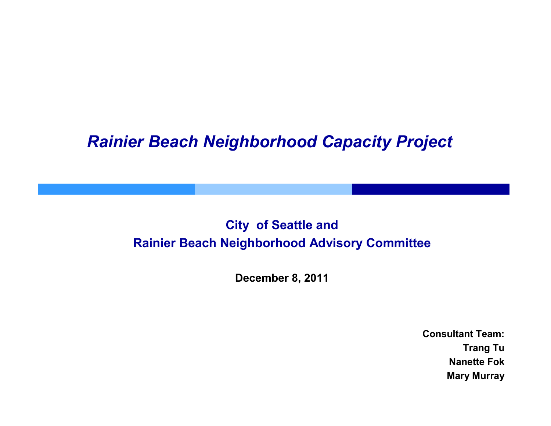### *Rainier Beach Neighborhood Capacity Project*

### **City of Seattle and Rainier Beach Neighborhood Advisory Committee**

**December 8, 2011**

**Consultant Team:Trang Tu Nanette FokMary Murray**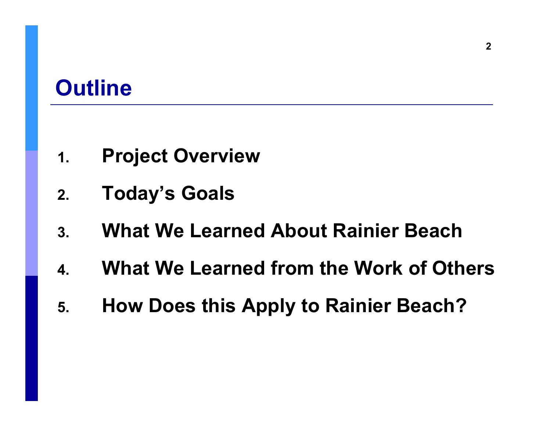# **Outline**

- **1.Project Overview**
- **2.Today's Goals**
- **3.What We Learned About Rainier Beach**
- **4.What We Learned from the Work of Others**
- **5.How Does this Apply to Rainier Beach?**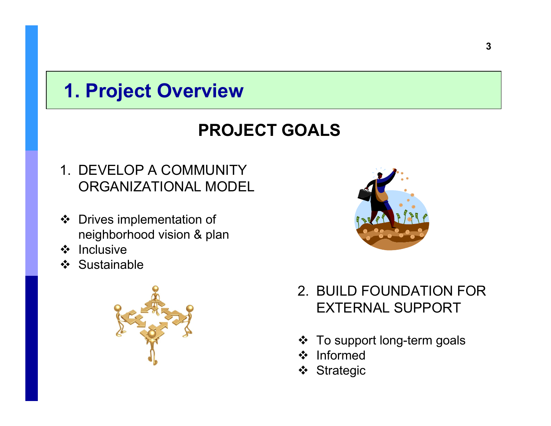# **1. Project Overview**

### **PROJECT GOALS**

- 1. DEVELOP A COMMUNITY ORGANIZATIONAL MODEL
- Drives implementation of<br>Poighborhood vision 8 plot neighborhood vision & plan
- ❖ Inclusive<br>❖ Sustaina
- ❖ Sustainable





- 2. BUILD FOUNDATION FOR EXTERNAL SUPPORT
- ❖ To support long-term goals<br>❖ Informed
- ❖ Informed<br>❖ Strategie
- ❖ Strategic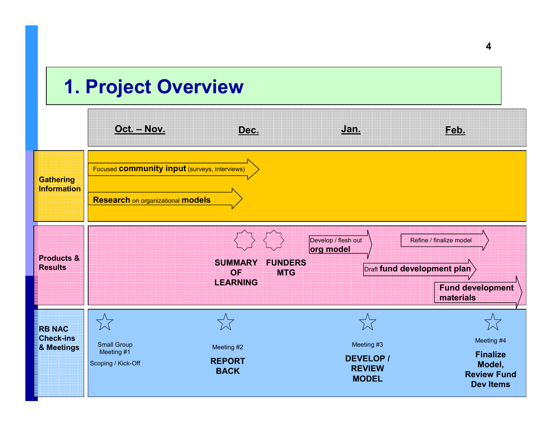### **1. Project Overview**

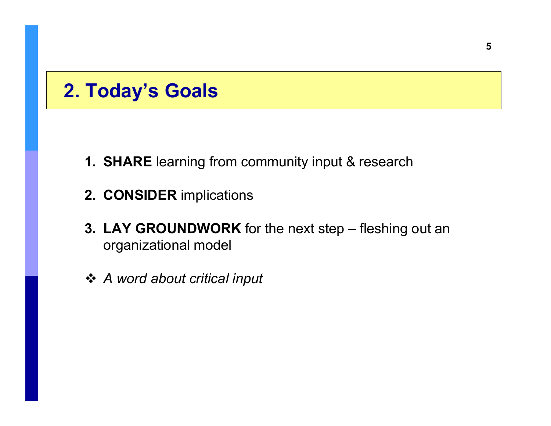### **2. Today's Goals**

- **1. SHARE** learning from community input & research
- **2. CONSIDER** implications
- **3. LAY GROUNDWORK** for the next step fleshing out an organizational model
- *A word about critical input*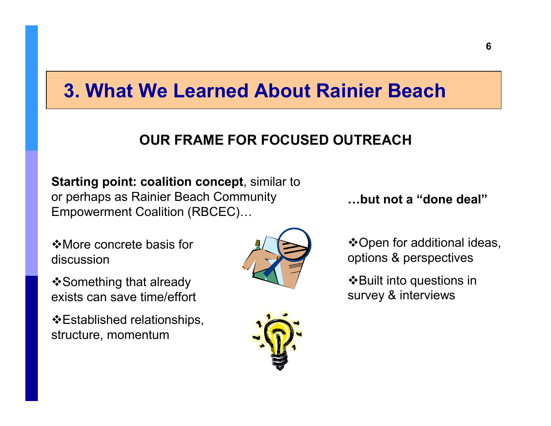### **OUR FRAME FOR FOCUSED OUTREACH**

**Starting point: coalition concept**, similar to or perhaps as Rainier Beach Community Empowerment Coalition (RBCEC)...

More concrete basis for discussion

Something that already exists can save time/effort

Established relationships, structure, momentum





**Bbut not a "done deal"**

Open for additional ideas, options & perspectives

 $\triangle$ Built into questions in survey & interviews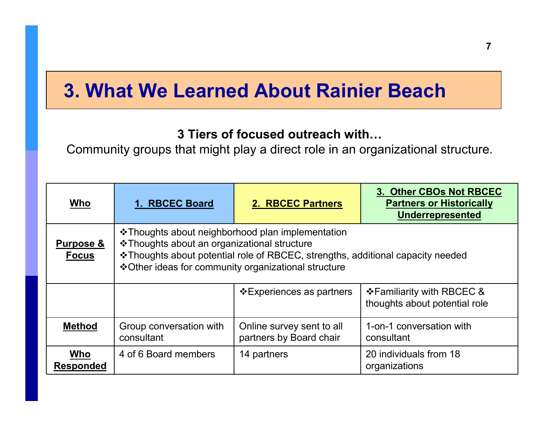### **3 Tiers of focused outreach with...**

Community groups that might play a direct role in an organizational structure.

| Who                                  | 1. RBCEC Board                                                                                                                                                                                                                               | 2. RBCEC Partners                                    | 3. Other CBOs Not RBCEC<br><b>Partners or Historically</b><br><b>Underrepresented</b> |  |
|--------------------------------------|----------------------------------------------------------------------------------------------------------------------------------------------------------------------------------------------------------------------------------------------|------------------------------------------------------|---------------------------------------------------------------------------------------|--|
| <b>Purpose &amp;</b><br><b>Focus</b> | ❖ Thoughts about neighborhood plan implementation<br>❖ Thoughts about an organizational structure<br>❖ Thoughts about potential role of RBCEC, strengths, additional capacity needed<br>❖ Other ideas for community organizational structure |                                                      |                                                                                       |  |
|                                      |                                                                                                                                                                                                                                              | ❖ Experiences as partners                            | ❖ Familiarity with RBCEC &<br>thoughts about potential role                           |  |
| <b>Method</b>                        | Group conversation with<br>consultant                                                                                                                                                                                                        | Online survey sent to all<br>partners by Board chair | 1-on-1 conversation with<br>consultant                                                |  |
| Who<br><b>Responded</b>              | 4 of 6 Board members                                                                                                                                                                                                                         | 14 partners                                          | 20 individuals from 18<br>organizations                                               |  |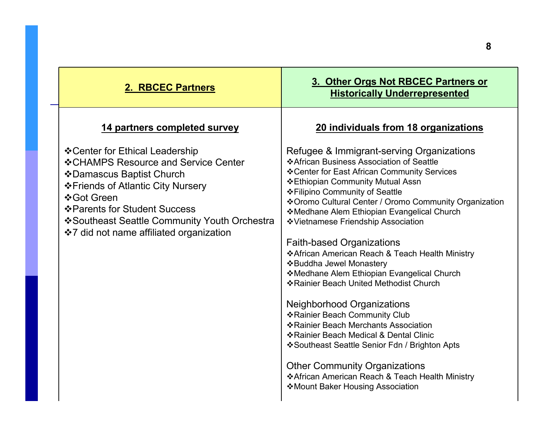| 2. RBCEC Partners                                                                                                                                                                                                                                                                      | 3. Other Orgs Not RBCEC Partners or<br><b>Historically Underrepresented</b>                                                                                                                                                                                                                                                                                                                                                                                                                                                                                                                                                                                                                                                                                                                                                                                                                                                |
|----------------------------------------------------------------------------------------------------------------------------------------------------------------------------------------------------------------------------------------------------------------------------------------|----------------------------------------------------------------------------------------------------------------------------------------------------------------------------------------------------------------------------------------------------------------------------------------------------------------------------------------------------------------------------------------------------------------------------------------------------------------------------------------------------------------------------------------------------------------------------------------------------------------------------------------------------------------------------------------------------------------------------------------------------------------------------------------------------------------------------------------------------------------------------------------------------------------------------|
| 14 partners completed survey                                                                                                                                                                                                                                                           | 20 individuals from 18 organizations                                                                                                                                                                                                                                                                                                                                                                                                                                                                                                                                                                                                                                                                                                                                                                                                                                                                                       |
| ❖ Center for Ethical Leadership<br>❖ CHAMPS Resource and Service Center<br>❖ Damascus Baptist Church<br>❖ Friends of Atlantic City Nursery<br>❖ Got Green<br>❖ Parents for Student Success<br>❖ Southeast Seattle Community Youth Orchestra<br>❖7 did not name affiliated organization | Refugee & Immigrant-serving Organizations<br>❖ African Business Association of Seattle<br>❖ Center for East African Community Services<br>❖ Ethiopian Community Mutual Assn<br>❖ Filipino Community of Seattle<br>❖ Oromo Cultural Center / Oromo Community Organization<br>❖ Medhane Alem Ethiopian Evangelical Church<br>❖ Vietnamese Friendship Association<br><b>Faith-based Organizations</b><br>❖ African American Reach & Teach Health Ministry<br>❖ Buddha Jewel Monastery<br>❖ Medhane Alem Ethiopian Evangelical Church<br>❖ Rainier Beach United Methodist Church<br><b>Neighborhood Organizations</b><br>❖ Rainier Beach Community Club<br>❖ Rainier Beach Merchants Association<br>❖ Rainier Beach Medical & Dental Clinic<br>❖ Southeast Seattle Senior Fdn / Brighton Apts<br><b>Other Community Organizations</b><br>❖ African American Reach & Teach Health Ministry<br>❖ Mount Baker Housing Association |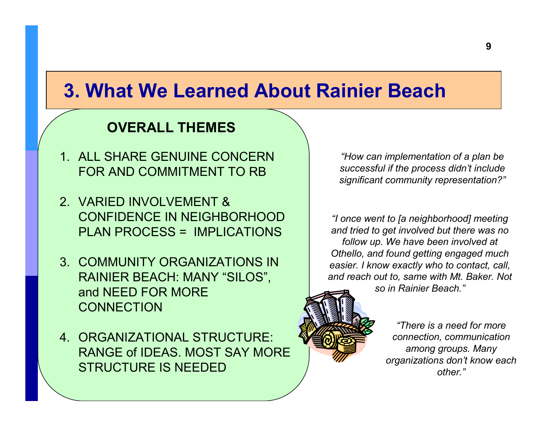#### **OVERALL THEMES**

- 1. ALL SHARE GENUINE CONCERN FOR AND COMMITMENT TO RB
- 2. VARIED INVOLVEMENT & CONFIDENCE IN NEIGHBORHOOD PLAN PROCESS = IMPLICATIONS
- 3. COMMUNITY ORGANIZATIONS IN RAINIER BEACH: MANY "SILOS", and NEED FOR MORE **CONNECTION**
- 4. ORGANIZATIONAL STRUCTURE: RANGE of IDEAS. MOST SAY MORE STRUCTURE IS NEEDED

*"How can implementation of a plan be successful if the process didn't include significant community representation?"*

*"I once went to [a neighborhood] meeting and tried to get involved but there was no follow up. We have been involved at Othello, and found getting engaged much easier. I know exactly who to contact, call, and reach out to, same with Mt. Baker. Not so in Rainier Beach."*

> *"There is a need for more connection, communication among groups. Many organizations don't know each other."*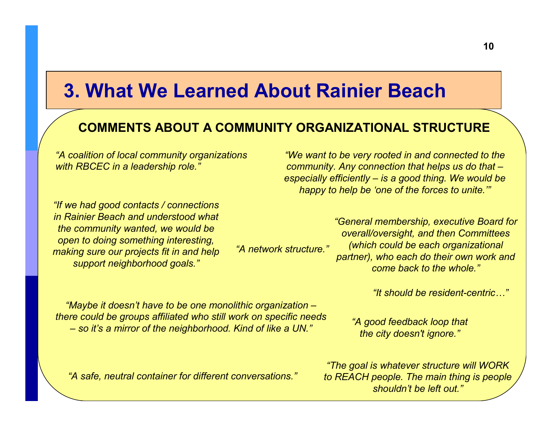### **COMMENTS ABOUT A COMMUNITY ORGANIZATIONAL STRUCTURE**

*"A coalition of local community organizations with RBCEC in a leadership role."*

*"If we had good contacts / connections in Rainier Beach and understood what the community wanted, we would be open to doing something interesting, making sure our projects fit in and help support neighborhood goals."*

*"We want to be very rooted in and connected to the community. Any connection that helps us do that – especially efficiently – is a good thing. We would be happy to help be 'one of the forces to unite.'"*

*"A network structure.""General membership, executive Board for overall/oversight, and then Committees (which could be each organizational partner), who each do their own work and come back to the whole."*

*"It should be resident-centric9"*

*"Maybe it doesn't have to be one monolithic organization – there could be groups affiliated who still work on specific needs – so it's a mirror of the neighborhood. Kind of like a UN."*

*"A good feedback loop that the city doesn't ignore."*

*"The goal is whatever structure will WORK to REACH people. The main thing is people shouldn't be left out."*

*"A safe, neutral container for different conversations."*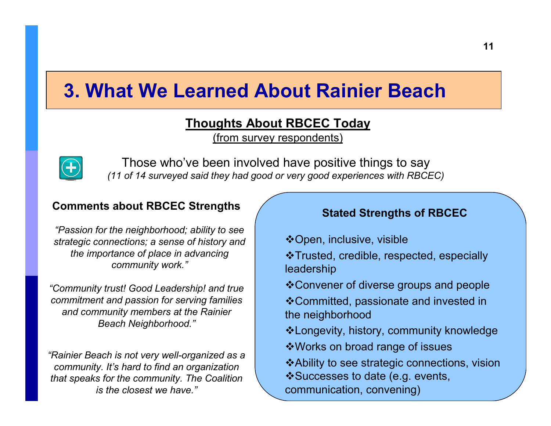#### **Thoughts About RBCEC Today**

(from survey respondents)



Those who've been involved have positive things to say *(11 of 14 surveyed said they had good or very good experiences with RBCEC)*

#### **Comments about RBCEC Strengths**

*"Passion for the neighborhood; ability to see strategic connections; a sense of history and the importance of place in advancing community work."*

*"Community trust! Good Leadership! and true commitment and passion for serving families and community members at the Rainier Beach Neighborhood."*

*"Rainier Beach is not very well-organized as a community. It's hard to find an organization that speaks for the community. The Coalition is the closest we have."*

#### **Stated Strengths of RBCEC**

Open, inclusive, visible

Trusted, credible, respected, especially leadership

Convener of diverse groups and people

Committed, passionate and invested in the neighborhood

Longevity, history, community knowledge

- Works on broad range of issues
- Ability to see strategic connections, visionSuccesses to date (e.g. events, communication, convening)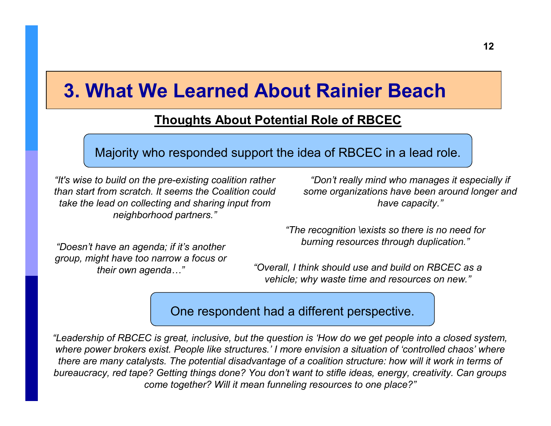### **Thoughts About Potential Role of RBCEC**

Majority who responded support the idea of RBCEC in a lead role.

*"It's wise to build on the pre-existing coalition rather than start from scratch. It seems the Coalition could take the lead on collecting and sharing input from neighborhood partners."*

*"Don't really mind who manages it especially if some organizations have been around longer and have capacity."*

*"Doesn't have an agenda; if it's another group, might have too narrow a focus or their own agenda...*"

*"The recognition \exists so there is no need for burning resources through duplication."*

 *"Overall, I think should use and build on RBCEC as a vehicle; why waste time and resources on new."*

One respondent had a different perspective.

*"Leadership of RBCEC is great, inclusive, but the question is 'How do we get people into a closed system, where power brokers exist. People like structures.' I more envision a situation of 'controlled chaos' where there are many catalysts. The potential disadvantage of a coalition structure: how will it work in terms of bureaucracy, red tape? Getting things done? You don't want to stifle ideas, energy, creativity. Can groups come together? Will it mean funneling resources to one place?"*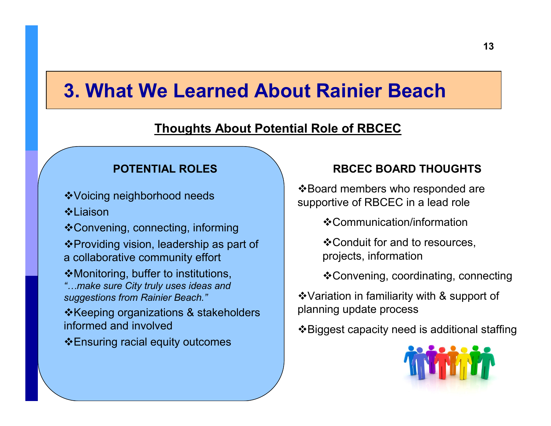### **Thoughts About Potential Role of RBCEC**

#### **POTENTIAL ROLES**

Voicing neighborhood needs

 $^*$ **Liaison** 

Convening, connecting, informing Providing vision, leadership as part of a collaborative community effort

Monitoring, buffer to institutions, *"9make sure City truly uses ideas and suggestions from Rainier Beach."*

 $\triangle$ Keeping organizations & stakeholders informed and involved

Ensuring racial equity outcomes

#### **RBCEC BOARD THOUGHTS**

❖ Board members who responded are supportive of RBCEC in a lead role

Communication/information

Conduit for and to resources, projects, information

Convening, coordinating, connecting

Variation in familiarity with & support of planning update process

Biggest capacity need is additional staffing

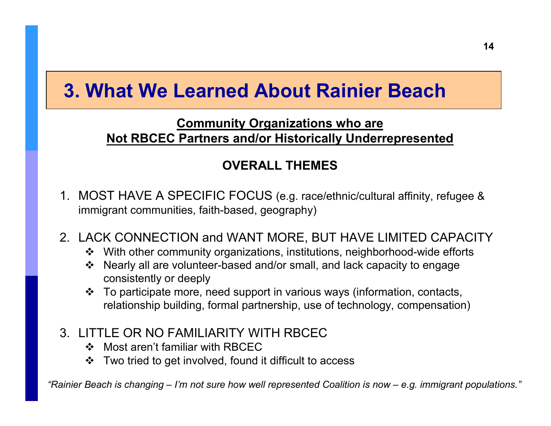### **Community Organizations who areNot RBCEC Partners and/or Historically Underrepresented**

### **OVERALL THEMES**

- 1. MOST HAVE A SPECIFIC FOCUS (e.g. race/ethnic/cultural affinity, refugee & immigrant communities, faith-based, geography)
- 2. LACK CONNECTION and WANT MORE, BUT HAVE LIMITED CAPACITY
	- ❖ With other community organizations, institutions, neighborhood-wide efforts<br>❖ Nearly all are volunteer based and/or small, and lack canacity to engage
	- Nearly all are volunteer-based and/or small, and lack capacity to engage<br>consistently or dooply consistently or deeply
	- **Example 19 To participate more, need support in various ways (information, contacts,**<br>relationship huilding formal partnership, use of technology, compensation relationship building, formal partnership, use of technology, compensation)
- 3. LITTLE OR NO FAMILIARITY WITH RBCEC
	- ❖ Most aren't familiar with RBCEC<br>❖ Two tried to got involved, found
	- ❖ Two tried to get involved, found it difficult to access

*"Rainier Beach is changing – I'm not sure how well represented Coalition is now – e.g. immigrant populations."*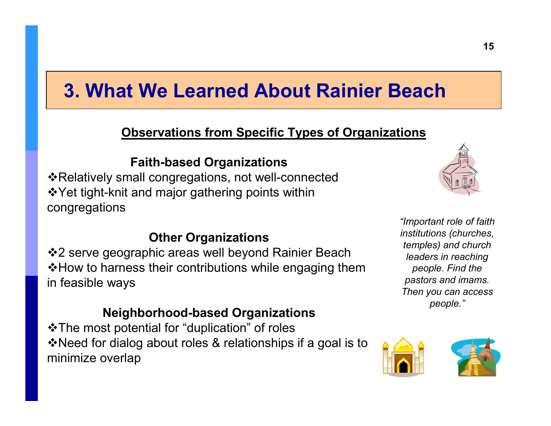### **Observations from Specific Types of Organizations**

#### **Faith-based Organizations**

❖Relatively small congregations, not well-connected Yet tight-knit and major gathering points within congregations



#### **Other Organizations**

❖2 serve geographic areas well beyond Rainier Beach  $\clubsuit$ How to harness their contributions while engaging them in feasible ways

#### **Neighborhood-based Organizations**

The most potential for "duplication" of roles Need for dialog about roles & relationships if a goal is to minimize overlap

*"Important role of faith institutions (churches, temples) and church leaders in reaching people. Find the pastors and imams. Then you can access people."*

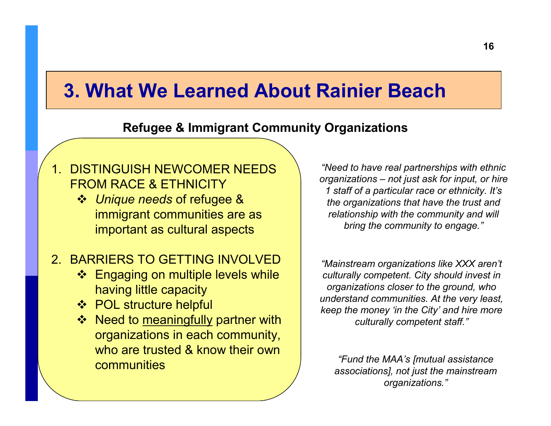#### **Refugee & Immigrant Community Organizations**

### 1. DISTINGUISH NEWCOMER NEEDS FROM RACE & ETHNICITY

 *Unique needs* of refugee & immigrant communities are as important as cultural aspects

### 2. BARRIERS TO GETTING INVOLVED

- ❖ Engaging on multiple levels while<br>Saving little capacity having little capacity
- ❖ POL structure helpful<br>❖ Need to meaningfully
- ❖ Need to <u>meaningfully</u> partner with<br>Croanizations in each community organizations in each community, who are trusted & know their own **communities**

*"Need to have real partnerships with ethnic organizations – not just ask for input, or hire 1 staff of a particular race or ethnicity. It's the organizations that have the trust and relationship with the community and will bring the community to engage."*

*"Mainstream organizations like XXX aren't culturally competent. City should invest in organizations closer to the ground, who understand communities. At the very least, keep the money 'in the City' and hire more culturally competent staff."*

 *"Fund the MAA's [mutual assistance associations], not just the mainstream organizations."*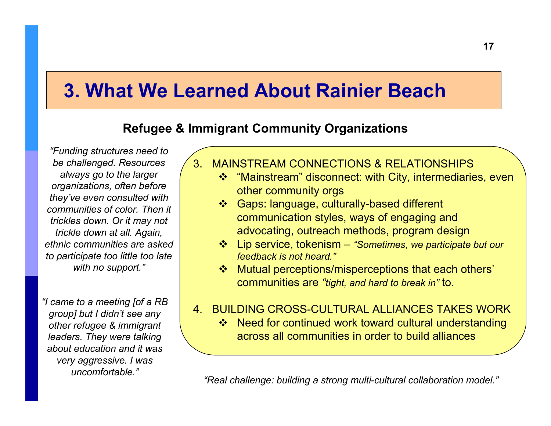### **Refugee & Immigrant Community Organizations**

*"Funding structures need to be challenged. Resources always go to the larger organizations, often before they've even consulted with communities of color. Then it trickles down. Or it may not trickle down at all. Again, ethnic communities are asked to participate too little too late with no support."*

*"I came to a meeting [of a RB group] but I didn't see any other refugee & immigrant leaders. They were talking about education and it was very aggressive. I was uncomfortable."*

- 3. MAINSTREAM CONNECTIONS & RELATIONSHIPS
	- ❖ "Mainstream" disconnect: with City, intermediaries, even<br>ether community orgs other community orgs
	- Gaps: language, culturally-based different<br>Communication styles, ways of ongaging a communication styles, ways of engaging and advocating, outreach methods, program design
	- Lip service, tokenism *"Sometimes, we participate but our feedback is not heard."*
	- ◆ Mutual perceptions/misperceptions that each others'<br>
	communities are "tight, and hard to break in" to communities are *"tight, and hard to break in"* to.

#### 4. BUILDING CROSS-CULTURAL ALLIANCES TAKES WORK

❖ Need for continued work toward cultural understanding<br>across all communities in order to build alliances across all communities in order to build alliances

*"Real challenge: building a strong multi-cultural collaboration model."*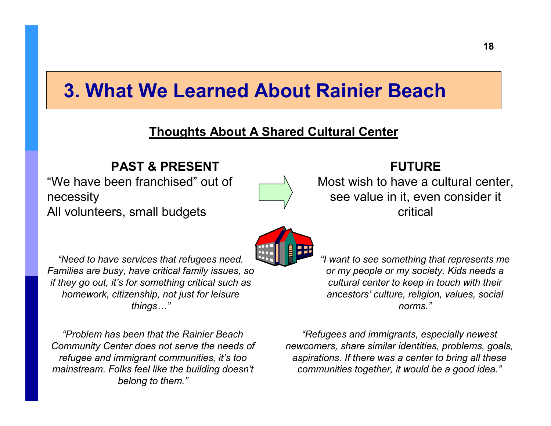#### **Thoughts About A Shared Cultural Center**

#### **PAST & PRESENT**

 "We have been franchised" out of necessityAll volunteers, small budgets



#### **FUTURE**

 Most wish to have a cultural center, see value in it, even consider it critical

*"Need to have services that refugees need. Families are busy, have critical family issues, so if they go out, it's for something critical such ashomework, citizenship, not just for leisure* things..."

*"Problem has been that the Rainier Beach Community Center does not serve the needs of refugee and immigrant communities, it's too mainstream. Folks feel like the building doesn't belong to them."*

*"I want to see something that represents me or my people or my society. Kids needs a cultural center to keep in touch with their ancestors' culture, religion, values, social norms."*

*"Refugees and immigrants, especially newest newcomers, share similar identities, problems, goals, aspirations. If there was a center to bring all these communities together, it would be a good idea."*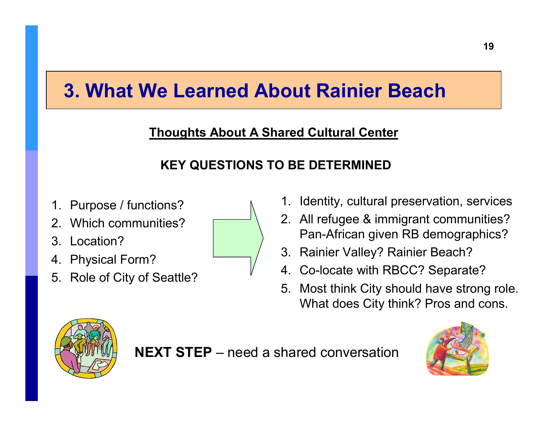### **Thoughts About A Shared Cultural Center**

### **KEY QUESTIONS TO BE DETERMINED**

- 1. Purpose / functions?
- 2. Which communities?
- 3. Location?
- 4. Physical Form?
- 5. Role of City of Seattle?



- 1. Identity, cultural preservation, services
- 2. All refugee & immigrant communities? Pan-African given RB demographics?
- 3. Rainier Valley? Rainier Beach?
- 4. Co-locate with RBCC? Separate?
- 5. Most think City should have strong role. What does City think? Pros and cons.



**NEXT STEP** – need a shared conversation

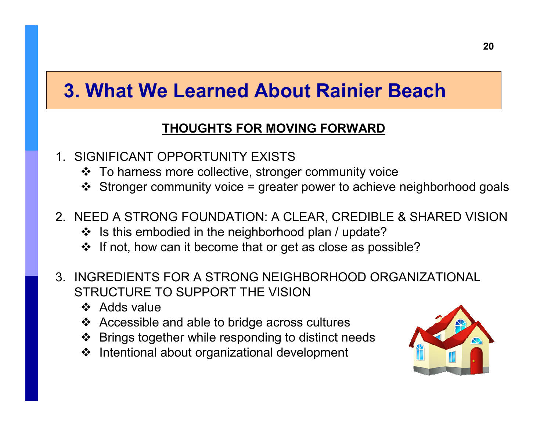### **THOUGHTS FOR MOVING FORWARD**

- 1. SIGNIFICANT OPPORTUNITY EXISTS
	- ❖ To harness more collective, stronger community voice<br>
	A Stronger community voice = greater power to achieve
	- Stronger community voice = greater power to achieve neighborhood goals

### 2. NEED A STRONG FOUNDATION: A CLEAR, CREDIBLE & SHARED VISION

- ❖ Is this embodied in the neighborhood plan / update?
- $\clubsuit$  If not, how can it become that or get as close as possible?
- 3. INGREDIENTS FOR A STRONG NEIGHBORHOOD ORGANIZATIONAL STRUCTURE TO SUPPORT THE VISION
	- ❖ Adds value<br>❖ Accessible
	- ❖ Accessible and able to bridge across cultures<br>
	A Prings together while responding to distinct pro
	- ❖ Brings together while responding to distinct needs<br>❖ Intentional about organizational development
	- ❖ Intentional about organizational development

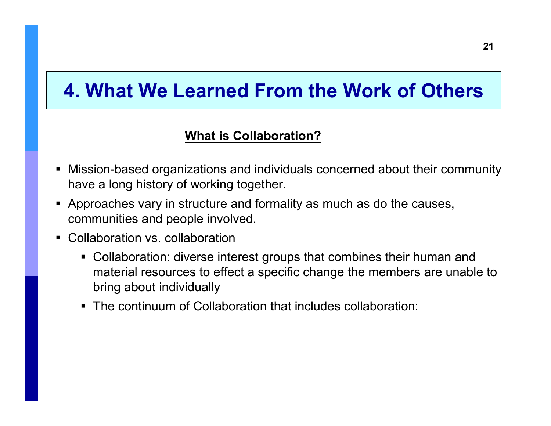### **What is Collaboration?**

- Mission-based organizations and individuals concerned about their community have a long history of working together.
- Approaches vary in structure and formality as much as do the causes, communities and people involved.
- Collaboration vs. collaboration
	- Collaboration: diverse interest groups that combines their human and<br>metarial reservese to effect a specific shapes the members are unable material resources to effect a specific change the members are unable to bring about individually
	- The continuum of Collaboration that includes collaboration: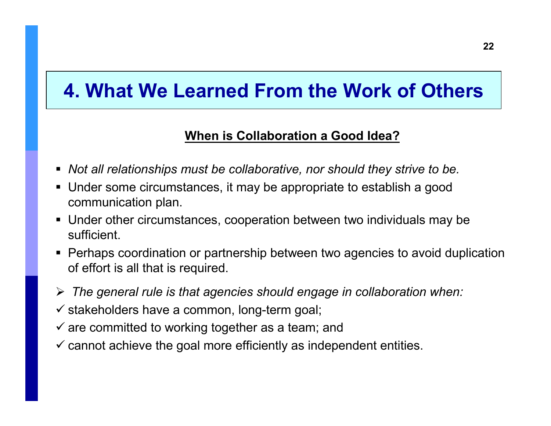### **When is Collaboration a Good Idea?**

- *Not all relationships must be collaborative, nor should they strive to be.*
- Under some circumstances, it may be appropriate to establish a good communication plan.
- Under other circumstances, cooperation between two individuals may be sufficient.
- Perhaps coordination or partnership between two agencies to avoid duplication of effort is all that is required.
- *The general rule is that agencies should engage in collaboration when:*
- $\checkmark$  stakeholders have a common, long-term goal;
- $\checkmark$  are committed to working together as a team; and
- $\checkmark$  cannot achieve the goal more efficiently as independent entities.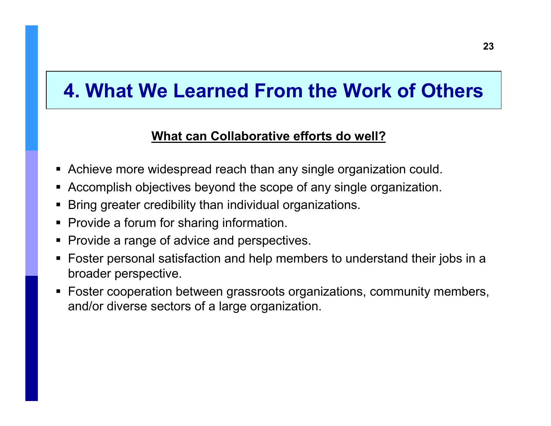### **What can Collaborative efforts do well?**

- Achieve more widespread reach than any single organization could.
- **EXPACCOMPLES** Abjectives beyond the scope of any single organization.
- -Bring greater credibility than individual organizations.
- Provide a forum for sharing information.
- **Provide a range of advice and perspectives.**
- Foster personal satisfaction and help members to understand their jobs in a broader perspective.
- - Foster cooperation between grassroots organizations, community members, and/or diverse sectors of a large organization.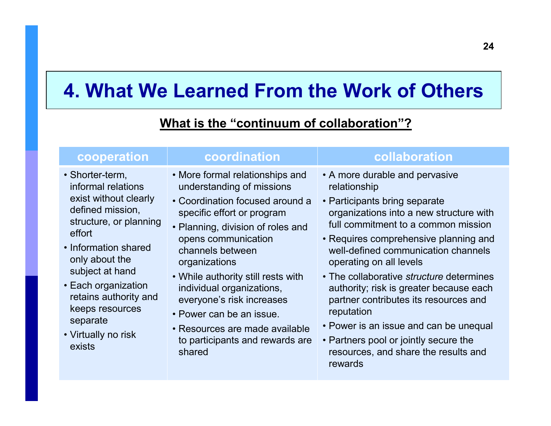### **What is the "continuum of collaboration"?**

#### **cooperation coordination collaboration** • Shorter-term,<br>informal relatio informal relations exist without clearly defined mission, structure, or planning effort• Information shared only about the subject at hand• Each organization retains authority and keeps resources separate • Virtually no risk exists• More formal relationships and<br>understanding of missions understanding of missions• Coordination focused around a specific effort or program • Planning, division of roles and opens communication channels between organizations • While authority still rests with individual organizations, everyone's risk increases• Power can be an issue. • Resources are made available to participants and rewards are shared• A more durable and pervasive relationship • Participants bring separate<br>expresions into a nave the organizations into a new structure with full commitment to a common mission• Requires comprehensive planning and well-defined communication channels operating on all levels• The collaborative *structure* determines authority; risk is greater because each partner contributes its resources and reputation • Power is an issue and can be unequal • Partners pool or jointly secure the<br>securities and share the results a resources, and share the results and rewards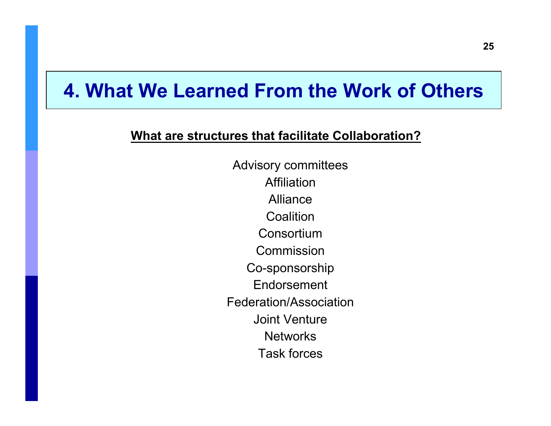#### **What are structures that facilitate Collaboration?**

Advisory committees **Affiliation**  Alliance Coalition Consortium Commission Co-sponsorship Endorsement Federation/Association Joint Venture**Networks** Task forces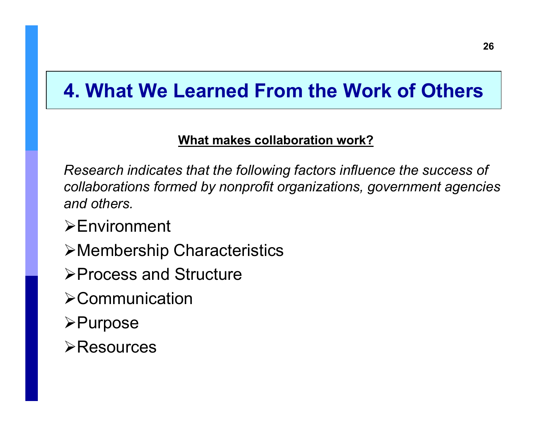### **What makes collaboration work?**

*Research indicates that the following factors influence the success of collaborations formed by nonprofit organizations, government agencies and others.*

- **Environment**
- Membership Characteristics
- **≻Process and Structure**
- **>Communication**
- **≻Purpose**
- **≻Resources**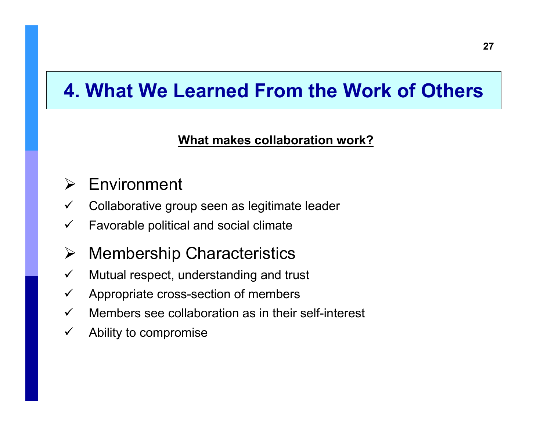### **What makes collaboration work?**

#### $\blacktriangleright$ Environment

- $\checkmark$ Collaborative group seen as legitimate leader
- $\checkmark$ Favorable political and social climate

#### $\blacktriangleright$ Membership Characteristics

- $\checkmark$ Mutual respect, understanding and trust
- $\checkmark$ Appropriate cross-section of members
- $\checkmark$ Members see collaboration as in their self-interest
- $\checkmark$ Ability to compromise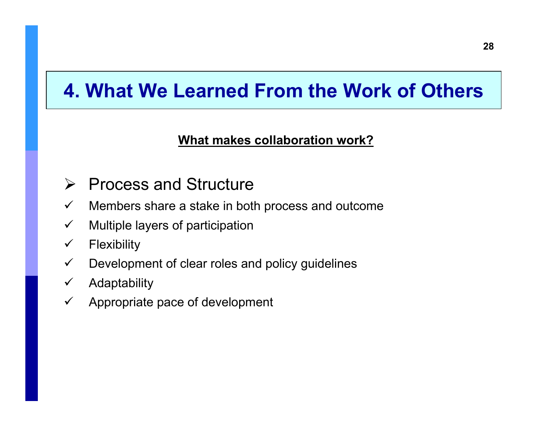### **What makes collaboration work?**

- **► Process and Structure**
- $\checkmark$ Members share a stake in both process and outcome
- $\checkmark$ Multiple layers of participation
- $\checkmark$ **Flexibility**
- $\checkmark$ Development of clear roles and policy guidelines
- $\checkmark$ Adaptability
- $\checkmark$ Appropriate pace of development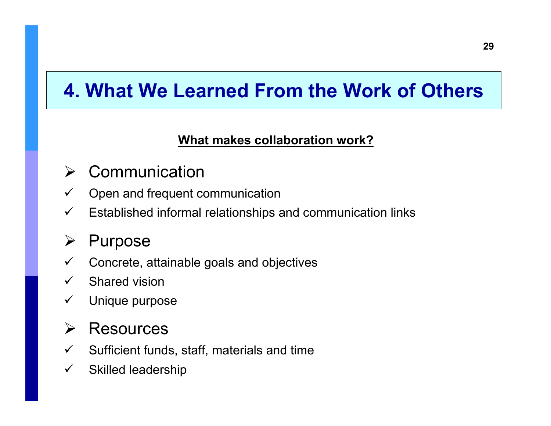### **What makes collaboration work?**

#### $\sum_{i=1}^{n}$ **Communication**

- $\checkmark$ Open and frequent communication
- $\checkmark$ Established informal relationships and communication links

#### ➤ Purpose

- $\checkmark$ Concrete, attainable goals and objectives
- $\checkmark$ Shared vision
- $\checkmark$ Unique purpose

#### $\sum_{i=1}^{n}$ **Resources**

- $\checkmark$ Sufficient funds, staff, materials and time
- $\checkmark$ Skilled leadership